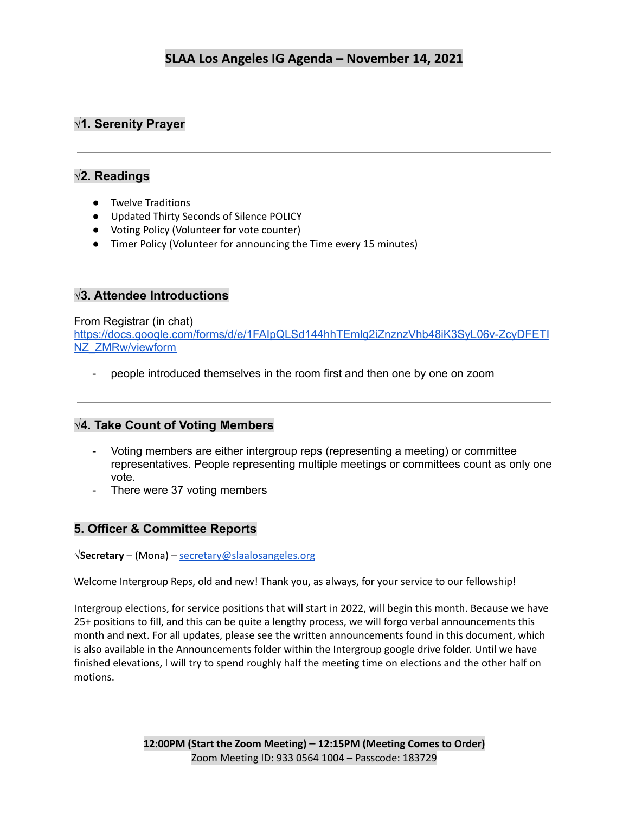# **√1. Serenity Prayer**

### **√2. Readings**

- Twelve Traditions
- Updated Thirty Seconds of Silence POLICY
- Voting Policy (Volunteer for vote counter)
- Timer Policy (Volunteer for announcing the Time every 15 minutes)

### **√3. Attendee Introductions**

#### From Registrar (in chat)

[https://docs.google.com/forms/d/e/1FAIpQLSd144hhTEmlg2iZnznzVhb48iK3SyL06v-ZcyDFETI](https://docs.google.com/forms/d/e/1FAIpQLSd144hhTEmlg2iZnznzVhb48iK3SyL06v-ZcyDFETINZ_ZMRw/viewform) [NZ\\_ZMRw/viewform](https://docs.google.com/forms/d/e/1FAIpQLSd144hhTEmlg2iZnznzVhb48iK3SyL06v-ZcyDFETINZ_ZMRw/viewform)

people introduced themselves in the room first and then one by one on zoom

### **√4. Take Count of Voting Members**

- Voting members are either intergroup reps (representing a meeting) or committee representatives. People representing multiple meetings or committees count as only one vote.
- There were 37 voting members

### **5. Officer & Committee Reports**

**√Secretary** – (Mona) – [secretary@slaalosangeles.org](mailto:secretary@slaalosangeles.org)

Welcome Intergroup Reps, old and new! Thank you, as always, for your service to our fellowship!

Intergroup elections, for service positions that will start in 2022, will begin this month. Because we have 25+ positions to fill, and this can be quite a lengthy process, we will forgo verbal announcements this month and next. For all updates, please see the written announcements found in this document, which is also available in the Announcements folder within the Intergroup google drive folder. Until we have finished elevations, I will try to spend roughly half the meeting time on elections and the other half on motions.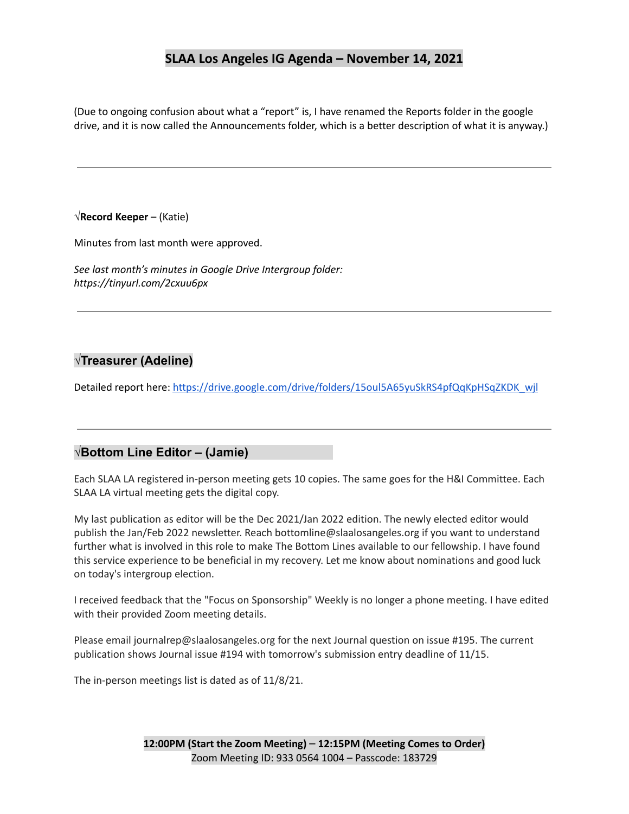(Due to ongoing confusion about what a "report" is, I have renamed the Reports folder in the google drive, and it is now called the Announcements folder, which is a better description of what it is anyway.)

#### **√Record Keeper** – (Katie)

Minutes from last month were approved.

*See last month's minutes in Google Drive Intergroup folder: https://tinyurl.com/2cxuu6px*

### **√Treasurer (Adeline)**

Detailed report here: [https://drive.google.com/drive/folders/15oul5A65yuSkRS4pfQqKpHSqZKDK\\_wjl](https://drive.google.com/drive/folders/15oul5A65yuSkRS4pfQqKpHSqZKDK_wjl)

#### **√Bottom Line Editor – (Jamie)**

Each SLAA LA registered in-person meeting gets 10 copies. The same goes for the H&I Committee. Each SLAA LA virtual meeting gets the digital copy.

My last publication as editor will be the Dec 2021/Jan 2022 edition. The newly elected editor would publish the Jan/Feb 2022 newsletter. Reach bottomline@slaalosangeles.org if you want to understand further what is involved in this role to make The Bottom Lines available to our fellowship. I have found this service experience to be beneficial in my recovery. Let me know about nominations and good luck on today's intergroup election.

I received feedback that the "Focus on Sponsorship" Weekly is no longer a phone meeting. I have edited with their provided Zoom meeting details.

Please email journalrep@slaalosangeles.org for the next Journal question on issue #195. The current publication shows Journal issue #194 with tomorrow's submission entry deadline of 11/15.

The in-person meetings list is dated as of 11/8/21.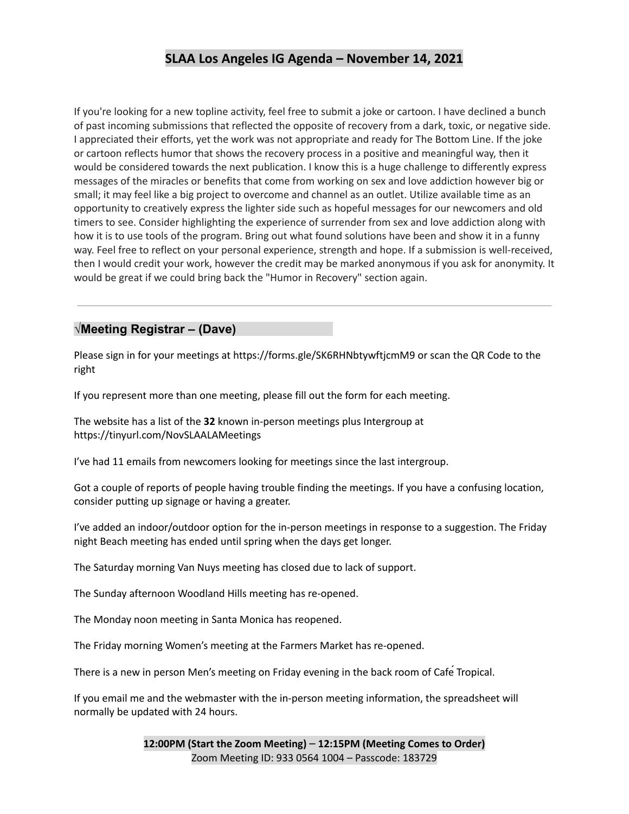If you're looking for a new topline activity, feel free to submit a joke or cartoon. I have declined a bunch of past incoming submissions that reflected the opposite of recovery from a dark, toxic, or negative side. I appreciated their efforts, yet the work was not appropriate and ready for The Bottom Line. If the joke or cartoon reflects humor that shows the recovery process in a positive and meaningful way, then it would be considered towards the next publication. I know this is a huge challenge to differently express messages of the miracles or benefits that come from working on sex and love addiction however big or small; it may feel like a big project to overcome and channel as an outlet. Utilize available time as an opportunity to creatively express the lighter side such as hopeful messages for our newcomers and old timers to see. Consider highlighting the experience of surrender from sex and love addiction along with how it is to use tools of the program. Bring out what found solutions have been and show it in a funny way. Feel free to reflect on your personal experience, strength and hope. If a submission is well-received, then I would credit your work, however the credit may be marked anonymous if you ask for anonymity. It would be great if we could bring back the "Humor in Recovery" section again.

#### **√Meeting Registrar – (Dave)**

Please sign in for your meetings at https://forms.gle/SK6RHNbtywftjcmM9 or scan the QR Code to the right

If you represent more than one meeting, please fill out the form for each meeting.

The website has a list of the **32** known in-person meetings plus Intergroup at https://tinyurl.com/NovSLAALAMeetings

I've had 11 emails from newcomers looking for meetings since the last intergroup.

Got a couple of reports of people having trouble finding the meetings. If you have a confusing location, consider putting up signage or having a greater.

I've added an indoor/outdoor option for the in-person meetings in response to a suggestion. The Friday night Beach meeting has ended until spring when the days get longer.

The Saturday morning Van Nuys meeting has closed due to lack of support.

The Sunday afternoon Woodland Hills meeting has re-opened.

The Monday noon meeting in Santa Monica has reopened.

The Friday morning Women's meeting at the Farmers Market has re-opened.

There is a new in person Men's meeting on Friday evening in the back room of Cafe Tropical.

If you email me and the webmaster with the in-person meeting information, the spreadsheet will normally be updated with 24 hours.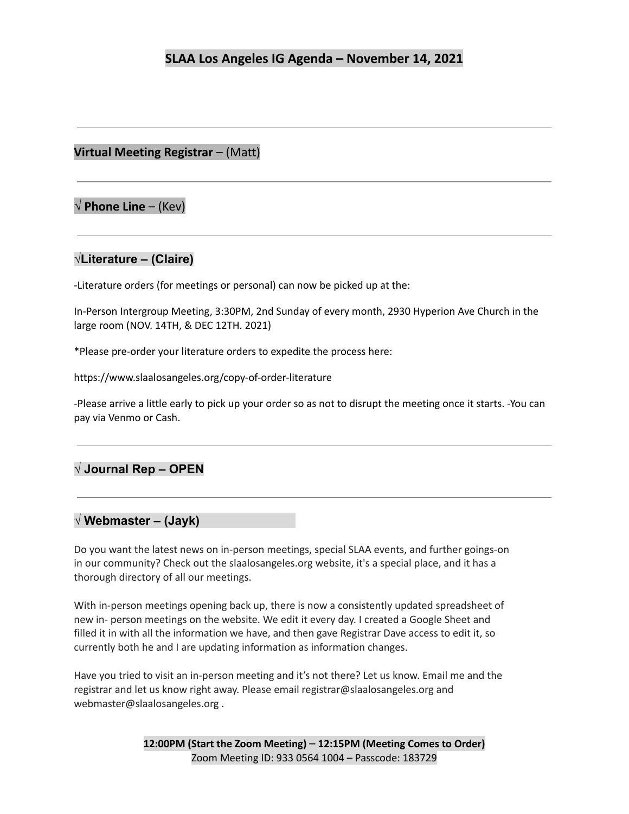### **Virtual Meeting Registrar** – (Matt)

# **√ Phone Line** – (Kev)

### **√Literature – (Claire)**

-Literature orders (for meetings or personal) can now be picked up at the:

In-Person Intergroup Meeting, 3:30PM, 2nd Sunday of every month, 2930 Hyperion Ave Church in the large room (NOV. 14TH, & DEC 12TH. 2021)

\*Please pre-order your literature orders to expedite the process here:

https://www.slaalosangeles.org/copy-of-order-literature

-Please arrive a little early to pick up your order so as not to disrupt the meeting once it starts. -You can pay via Venmo or Cash.

## **√ Journal Rep – OPEN**

### **√ Webmaster – (Jayk)**

Do you want the latest news on in-person meetings, special SLAA events, and further goings-on in our community? Check out the slaalosangeles.org website, it's a special place, and it has a thorough directory of all our meetings.

With in-person meetings opening back up, there is now a consistently updated spreadsheet of new in- person meetings on the website. We edit it every day. I created a Google Sheet and filled it in with all the information we have, and then gave Registrar Dave access to edit it, so currently both he and I are updating information as information changes.

Have you tried to visit an in-person meeting and it's not there? Let us know. Email me and the registrar and let us know right away. Please email registrar@slaalosangeles.org and webmaster@slaalosangeles.org .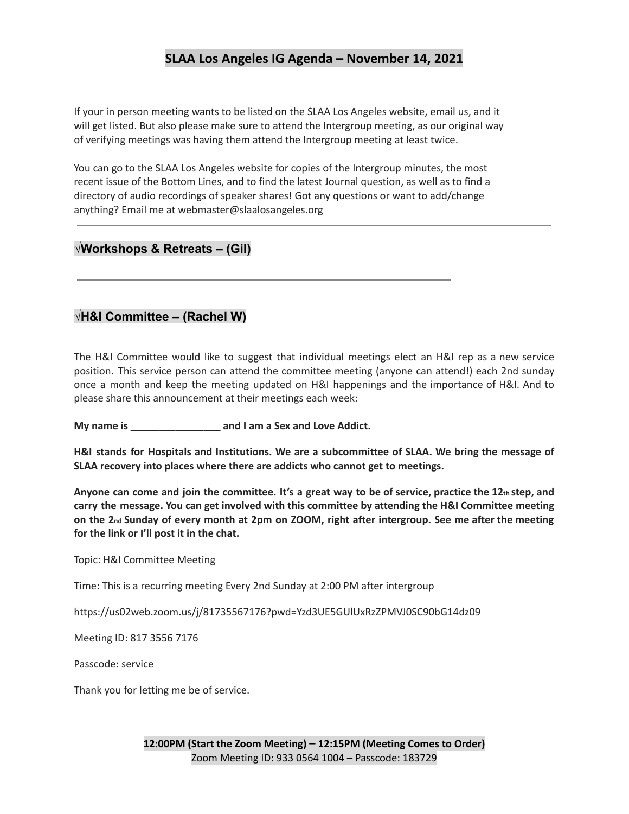If your in person meeting wants to be listed on the SLAA Los Angeles website, email us, and it will get listed. But also please make sure to attend the Intergroup meeting, as our original way of verifying meetings was having them attend the Intergroup meeting at least twice.

You can go to the SLAA Los Angeles website for copies of the Intergroup minutes, the most recent issue of the Bottom Lines, and to find the latest Journal question, as well as to find a directory of audio recordings of speaker shares! Got any questions or want to add/change anything? Email me at webmaster@slaalosangeles.org

### **√Workshops & Retreats – (Gil)**

### **√H&I Committee – (Rachel W)**

The H&I Committee would like to suggest that individual meetings elect an H&I rep as a new service position. This service person can attend the committee meeting (anyone can attend!) each 2nd sunday once a month and keep the meeting updated on H&I happenings and the importance of H&I. And to please share this announcement at their meetings each week:

**My name is \_\_\_\_\_\_\_\_\_\_\_\_\_\_\_\_ and I am a Sex and Love Addict.**

**H&I stands for Hospitals and Institutions. We are a subcommittee of SLAA. We bring the message of SLAA recovery into places where there are addicts who cannot get to meetings.**

Anyone can come and join the committee. It's a great way to be of service, practice the 12th step, and **carry the message. You can get involved with this committee by attending the H&I Committee meeting** on the 2nd Sunday of every month at 2pm on ZOOM, right after intergroup. See me after the meeting **for the link or I'll post it in the chat.**

Topic: H&I Committee Meeting

Time: This is a recurring meeting Every 2nd Sunday at 2:00 PM after intergroup

https://us02web.zoom.us/j/81735567176?pwd=Yzd3UE5GUlUxRzZPMVJ0SC90bG14dz09

Meeting ID: 817 3556 7176

Passcode: service

Thank you for letting me be of service.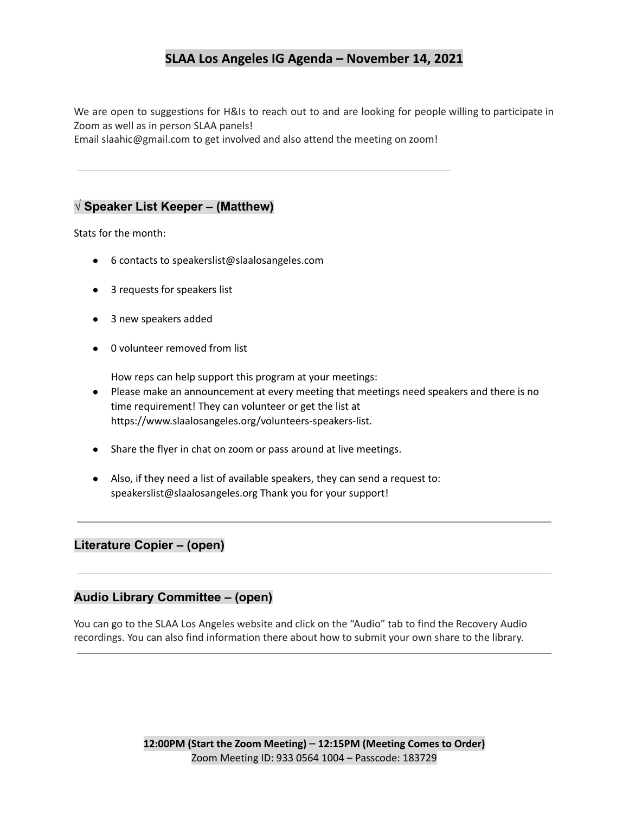We are open to suggestions for H&Is to reach out to and are looking for people willing to participate in Zoom as well as in person SLAA panels!

Email slaahic@gmail.com to get involved and also attend the meeting on zoom!

#### **√ Speaker List Keeper – (Matthew)**

Stats for the month:

- 6 contacts to speakerslist@slaalosangeles.com
- 3 requests for speakers list
- 3 new speakers added
- 0 volunteer removed from list

How reps can help support this program at your meetings:

- Please make an announcement at every meeting that meetings need speakers and there is no time requirement! They can volunteer or get the list at https://www.slaalosangeles.org/volunteers-speakers-list.
- Share the flyer in chat on zoom or pass around at live meetings.
- Also, if they need a list of available speakers, they can send a request to: speakerslist@slaalosangeles.org Thank you for your support!

#### **Literature Copier – (open)**

#### **Audio Library Committee – (open)**

You can go to the SLAA Los Angeles website and click on the "Audio" tab to find the Recovery Audio recordings. You can also find information there about how to submit your own share to the library.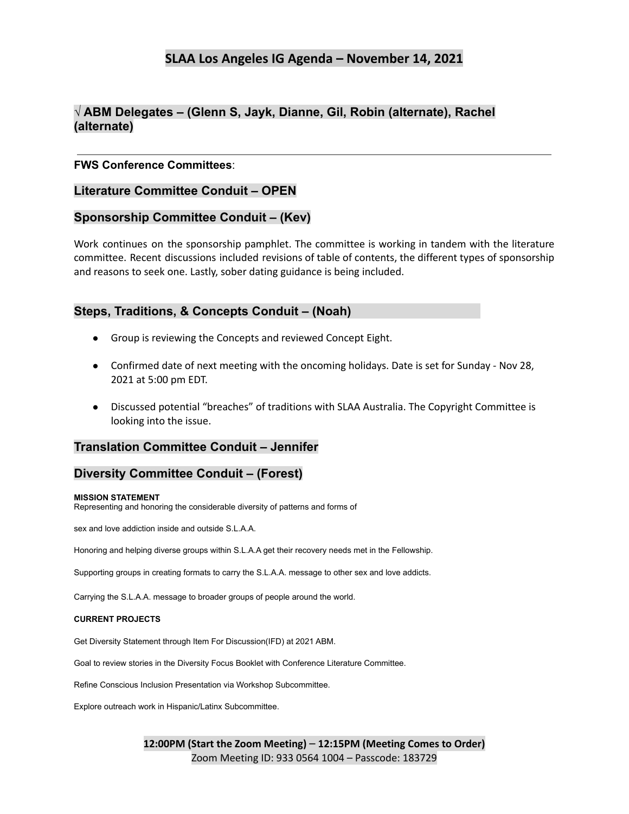### **√ ABM Delegates – (Glenn S, Jayk, Dianne, Gil, Robin (alternate), Rachel (alternate)**

#### **FWS Conference Committees**:

#### **Literature Committee Conduit – OPEN**

#### **Sponsorship Committee Conduit – (Kev)**

Work continues on the sponsorship pamphlet. The committee is working in tandem with the literature committee. Recent discussions included revisions of table of contents, the different types of sponsorship and reasons to seek one. Lastly, sober dating guidance is being included.

#### **Steps, Traditions, & Concepts Conduit – (Noah)**

- Group is reviewing the Concepts and reviewed Concept Eight.
- Confirmed date of next meeting with the oncoming holidays. Date is set for Sunday Nov 28, 2021 at 5:00 pm EDT.
- Discussed potential "breaches" of traditions with SLAA Australia. The Copyright Committee is looking into the issue.

#### **Translation Committee Conduit – Jennifer**

#### **Diversity Committee Conduit – (Forest)**

#### **MISSION STATEMENT**

Representing and honoring the considerable diversity of patterns and forms of

sex and love addiction inside and outside S.L.A.A.

Honoring and helping diverse groups within S.L.A.A get their recovery needs met in the Fellowship.

Supporting groups in creating formats to carry the S.L.A.A. message to other sex and love addicts.

Carrying the S.L.A.A. message to broader groups of people around the world.

#### **CURRENT PROJECTS**

Get Diversity Statement through Item For Discussion(IFD) at 2021 ABM.

Goal to review stories in the Diversity Focus Booklet with Conference Literature Committee.

Refine Conscious Inclusion Presentation via Workshop Subcommittee.

Explore outreach work in Hispanic/Latinx Subcommittee.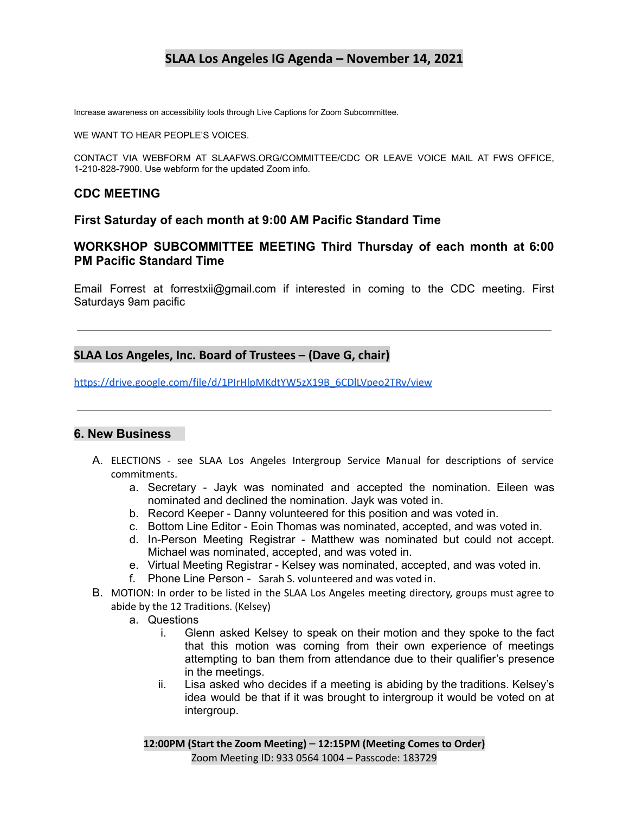Increase awareness on accessibility tools through Live Captions for Zoom Subcommittee.

WE WANT TO HEAR PEOPLE'S VOICES.

CONTACT VIA WEBFORM AT SLAAFWS.ORG/COMMITTEE/CDC OR LEAVE VOICE MAIL AT FWS OFFICE, 1-210-828-7900. Use webform for the updated Zoom info.

### **CDC MEETING**

#### **First Saturday of each month at 9:00 AM Pacific Standard Time**

### **WORKSHOP SUBCOMMITTEE MEETING Third Thursday of each month at 6:00 PM Pacific Standard Time**

Email Forrest at forrestxii@gmail.com if interested in coming to the CDC meeting. First Saturdays 9am pacific

### **SLAA Los Angeles, Inc. Board of Trustees – (Dave G, chair)**

[https://drive.google.com/file/d/1PIrHlpMKdtYW5zX19B\\_6CDlLVpeo2TRv/view](https://drive.google.com/file/d/1PIrHlpMKdtYW5zX19B_6CDlLVpeo2TRv/view)

#### **6. New Business**

- A. ELECTIONS see SLAA Los Angeles Intergroup Service Manual for descriptions of service commitments.
	- a. Secretary Jayk was nominated and accepted the nomination. Eileen was nominated and declined the nomination. Jayk was voted in.
	- b. Record Keeper Danny volunteered for this position and was voted in.
	- c. Bottom Line Editor Eoin Thomas was nominated, accepted, and was voted in.
	- d. In-Person Meeting Registrar Matthew was nominated but could not accept. Michael was nominated, accepted, and was voted in.
	- e. Virtual Meeting Registrar Kelsey was nominated, accepted, and was voted in.
	- f. Phone Line Person Sarah S. volunteered and was voted in.
- B. MOTION: In order to be listed in the SLAA Los Angeles meeting directory, groups must agree to abide by the 12 Traditions. (Kelsey)
	- a. Questions
		- i. Glenn asked Kelsey to speak on their motion and they spoke to the fact that this motion was coming from their own experience of meetings attempting to ban them from attendance due to their qualifier's presence in the meetings.
		- ii. Lisa asked who decides if a meeting is abiding by the traditions. Kelsey's idea would be that if it was brought to intergroup it would be voted on at intergroup.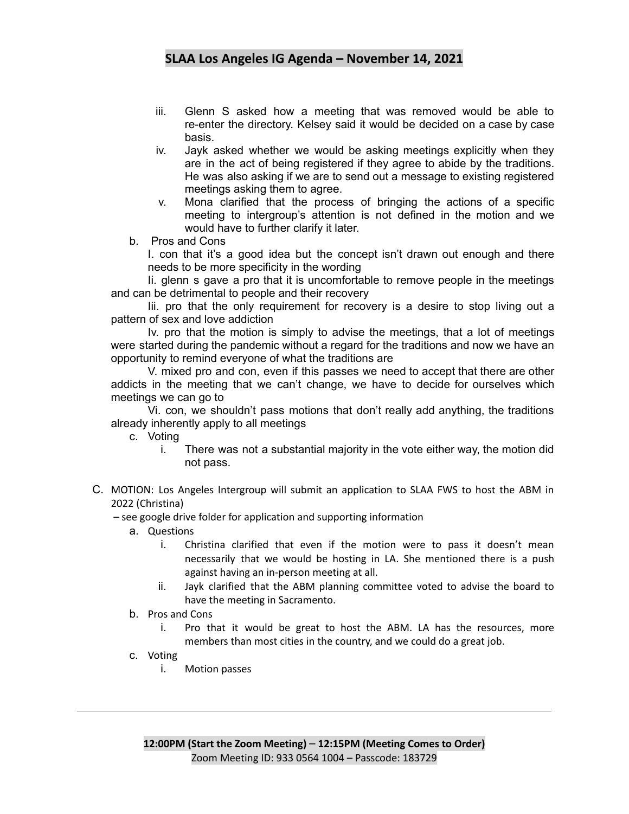- iii. Glenn S asked how a meeting that was removed would be able to re-enter the directory. Kelsey said it would be decided on a case by case basis.
- iv. Jayk asked whether we would be asking meetings explicitly when they are in the act of being registered if they agree to abide by the traditions. He was also asking if we are to send out a message to existing registered meetings asking them to agree.
- v. Mona clarified that the process of bringing the actions of a specific meeting to intergroup's attention is not defined in the motion and we would have to further clarify it later.
- b. Pros and Cons

I. con that it's a good idea but the concept isn't drawn out enough and there needs to be more specificity in the wording

Ii. glenn s gave a pro that it is uncomfortable to remove people in the meetings and can be detrimental to people and their recovery

Iii. pro that the only requirement for recovery is a desire to stop living out a pattern of sex and love addiction

Iv. pro that the motion is simply to advise the meetings, that a lot of meetings were started during the pandemic without a regard for the traditions and now we have an opportunity to remind everyone of what the traditions are

V. mixed pro and con, even if this passes we need to accept that there are other addicts in the meeting that we can't change, we have to decide for ourselves which meetings we can go to

Vi. con, we shouldn't pass motions that don't really add anything, the traditions already inherently apply to all meetings

c. Voting

- i. There was not a substantial majority in the vote either way, the motion did not pass.
- C. MOTION: Los Angeles Intergroup will submit an application to SLAA FWS to host the ABM in 2022 (Christina)

– see google drive folder for application and supporting information

- a. Questions
	- i. Christina clarified that even if the motion were to pass it doesn't mean necessarily that we would be hosting in LA. She mentioned there is a push against having an in-person meeting at all.
	- ii. Jayk clarified that the ABM planning committee voted to advise the board to have the meeting in Sacramento.
- b. Pros and Cons
	- i. Pro that it would be great to host the ABM. LA has the resources, more members than most cities in the country, and we could do a great job.
- c. Voting
	- i. Motion passes